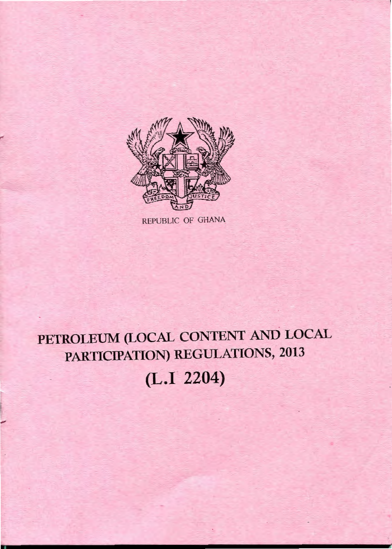

REPUBLIC OF GHANA

# **PETROLEUM (LOCAL CONTENT AND LOCAL PARTICIPATION) REGULATIONS, 2013**

**(L.I 2204)** 

r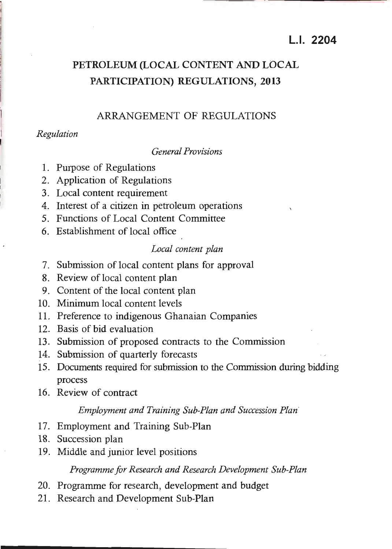## **LI. 2204**

## **PETROLEUM (LOCAL CONTENT AND LOCAL PARTICIPATION) REGULATIONS, 2013**

#### ARRANGEMENT OF REGULATIONS

#### *Regulation*

#### *General Provisions*

- 1. Purpose of Regulations
- 2. Application of Regulations
- 3. Local content requirement
- 4. Interest of a citizen in petroleum operations
- 5. Functions of Local Content Committee
- 6. Establishment of local office

#### *Local content plan*

- 7. Submission of local content plans for approval
- 8. Review of local content plan
- 9. Content of the local content plan
- 10. Minimum local content levels
- 11. Preference to indigenous Ghanaian Companies
- 12. Basis of bid evaluation
- 13. Submission of proposed contracts to the Commission
- 14. Submission of quarterly forecasts
- 15. Documents required for submission to the Commission during bidding process
- 16. Review of contract

#### *Employment and Training Sub-Plan and Succession Plan*

- 17. Employment and Training Sub-Plan
- 18. Succession plan
- 19. Middle and junior level positions

#### *Programme for Research and Research Development Sub-Plan*

- 20. Programme for research, development and budget
- 21. Research and Development Sub-Plan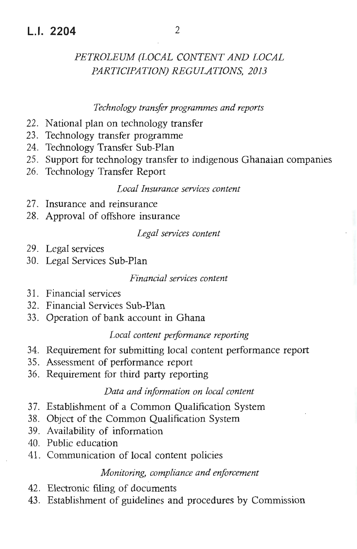## L.I. **2204** 2

## *PETROLEUM (LOCAL CONTENT AND LOCAL PARTICIPATION) REGULATIONS , 2013*

#### *Technology transfer programmes and reports*

- 22. National plan on technology transfer
- 23. Technology transfer programme
- 24. Technology Transfer Sub-Plan
- 25. Support for technology transfer to indigenous Ghanaian companies
- 26. Technology Transfer Report

#### *Local Insurance services content*

- 27. Insurance and reinsurance
- 28. Approval of offshore insurance

### *Legal services content*

- 29. Legal services
- 30. Legal Services Sub-Plan

*Financial services content* 

- 31. Financial services
- 32. Financial Services Sub-Plan
- 33. Operation of bank account in Ghana

#### *Local content peiformance reporting*

- 34. Requirement for submitting local content performance report
- 35. Assessment of performance report
- 36. Requirement for third party reporting

#### *Data and information on local content*

- 37. Establishment of a Common Qualification System
- 38. Object of the Common Qualification System
- 39. Availability of information
- 40. Public education
- 41. Communication of local content policies

#### *Monitoring, compliance and enforcement*

- 42. Electronic filing of documents
- 43. Establishment of guidelines and procedures by Commission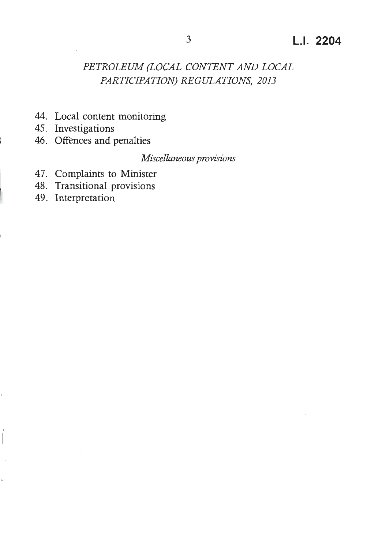- 44. Local content monitoring
- 45. Investigations
- 46. Offences and penalties

*Miscellaneous provisions* 

- 47. Complaints to Minister
- 48. Transitional provisions
- 49. Interpretation

í,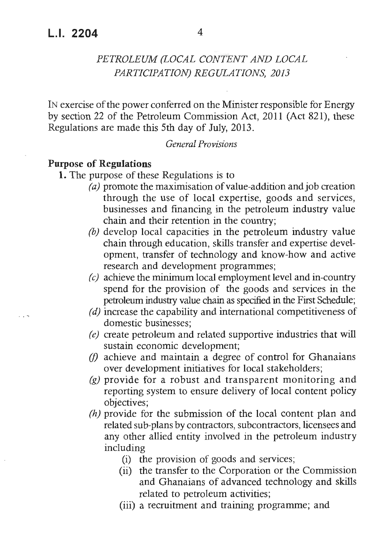IN exercise of the power conferred on the Minister responsible for Energy by section 22 of the Petroleum Commission Act, 2011 (Act 821), these Regulations are made this 5th day of July, 2013.

#### *General Provisions*

#### **Purpose of Regulations**

- **1.** The purpose of these Regulations is to
	- *(a)* promote the maximisation of value-addition and job creation through the use of local expertise, goods and services, businesses and financing in the petroleum industry value chain and their retention in the country;
	- *(b)* develop local capacities in the petroleum industry value chain through education, skills transfer and expertise development, transfer of technology and know-how and active research and development programmes;
	- *(c)* achieve the minimum local employment level and in-country spend for the provision of the goods and services in the petroleum industry value chain as specified in the First Schedule;
	- *(d)* increase the capability and international competitiveness of domestic businesses;
	- *(e)* create petroleum and related supportive industries that will sustain economic development;
	- *(!)* achieve and maintain a degree of control for Ghanaians over development initiatives for local stakeholders;
	- (g) provide for a robust and transparent monitoring and reporting system to ensure delivery of local content policy objectives;
	- *(h)* provide for the submission of the local content plan and related sub-plans by contractors, subcontractors, licensees and any other allied entity involved in the petroleum industry including
		- (i) the provision of goods and services;
		- (ii) the transfer to the Corporation or the Commission and Ghanaians of advanced technology and skills related to petroleum activities;
		- (iii) a recruitment and training programme; and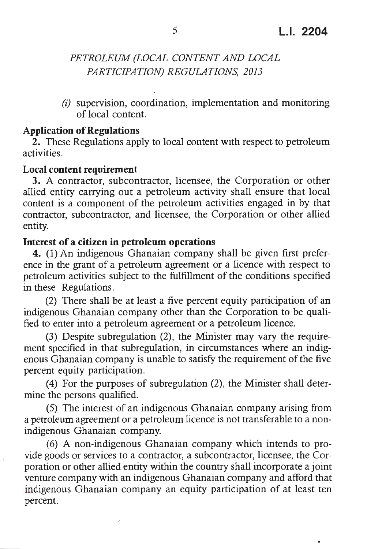٠

## *PETROLEUM (LOCAL CONTENT AND LOCAL PARTICIPATION) REGULATIONS, 2013*

*(i)* supervision, coordination, implementation and monitoring of local content.

#### **Application of Regulations**

**2.** These Regulations apply to local content with respect to petroleum activities.

#### **Local content requirement**

**3.** A contractor, subcontractor, licensee, the Corporation or other allied entity carrying out a petroleum activity shall ensure that local content is a component of the petroleum activities engaged in by that contractor, subcontractor, and licensee, the Corporation or other allied entity.

#### **Interest of a citizen in petroleum operations**

**4.** (1) An indigenous Ghanaian company shall be given first preference in the grant of a petroleum agreement or a licence with respect to petroleum activities subject to the fulfillment of the conditions specified in these Regulations.

(2) There shall be at least a five percent equity participation of an indigenous Ghanaian company other than the Corporation to be qualified to enter into a petroleum agreement or a petroleum licence.

(3) Despite subregulation (2), the Minister may vary the requirement specified in that subregulation, in circumstances where an indigenous Ghanaian company is unable to satisfy the requirement of the five percent equity participation.

(4) For the purposes of subregulation (2), the Minister shall determine the persons qualified.

(5) The interest of an indigenous Ghanaian company arising from a petroleum agreement or a petroleum licence is not transferable to a nonindigenous Ghanaian company.

(6) A non-indigenous Ghanaian company which intends to provide goods or services to a contractor, a subcontractor, licensee, the Corporation or other allied entity within the country shall incorporate a joint venture company with an indigenous Ghanaian company and afford that indigenous Ghanaian company an equity participation of at least ten percent.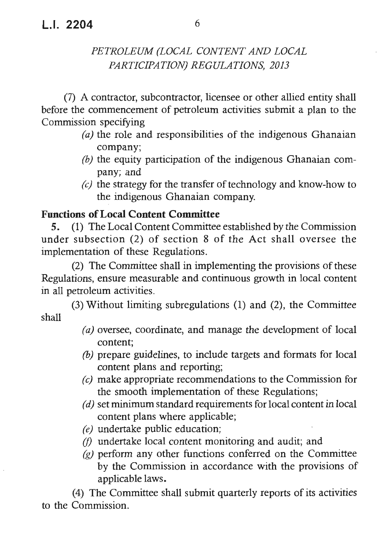(7) A contractor, subcontractor, licensee or other allied entity shall before the commencement of petroleum activities submit a plan to the Commission specifying

- *(a)* the role and responsibilities of the indigenous Ghanaian company;
- *(b)* the equity participation of the indigenous Ghanaian company; and
- *(c)* the strategy for the transfer of technology and know-how to the indigenous Ghanaian company.

## **Functions of Local Content Committee**

5. (1) The Local Content Committee established by the Commission under subsection (2) of section 8 of the Act shall oversee the implementation of these Regulations.

(2) The Committee shall in implementing the provisions of these Regulations, ensure measurable and continuous growth in local content in all petroleum activities.

(3) Without limiting subregulations (1) and (2), the Committee shall

- *(a)* oversee, coordinate, and manage the development of local content;
- *(b)* prepare guidelines, to include targets and formats for local content plans and reporting;
- *(c)* make appropriate recommendations to the Commission for the smooth implementation of these Regulations;
- *( d)* set minimum standard requirements for local content in local content plans where applicable;
- *(e)* undertake public education;
- *(!)* undertake local content monitoring and audit; and
- *(g)* perform any other functions conferred on the Committee by the Commission in accordance with the provisions of applicable laws.

(4) The Committee shall submit quarterly reports of its activities to the Commission.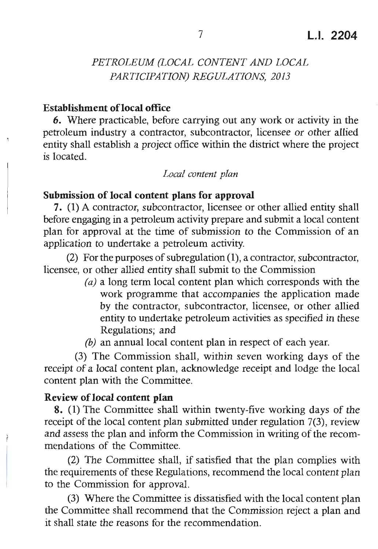#### **Establishment oflocal office**

**6.** Where practicable, before carrying out any work or activity in the petroleum industry a contractor, subcontractor, licensee or other allied entity shall establish a project office within the district where the project is located.

#### *Local content plan*

#### **Submission of local content plans for approval**

7. (1) A contractor, subcontractor, licensee or other allied entity shall before engaging in a petroleum activity prepare and submit a local content plan for approval at the time of submission to the Commission of an application to undertake a petroleum activity.

(2) For the purposes of subregulation **(1),** a contractor, subcontractor , licensee, or other allied entity shall submit to the Commission

- *(a)* a long term local content plan which corresponds with the work programme that accompanies the application made by the contractor, subcontractor, licensee, or other allied entity to undertake petroleum activities as specified in these Regulations; and
- *(b)* an annual local content plan in respect of each year.

(3) The Commission shall, within seven working days of the receipt of a local content plan, acknowledge receipt and lodge the local content plan with the Committee.

#### **Review of local content plan**

**8.** (1) The Committee shall within twenty-five working days of the receipt of the local content plan submitted under regulation 7(3), review and assess the plan and inform the Commission in writing of the recommendations of the Committee.

(2) The Committee shall, if satisfied that the plan complies with the requirements of these Regulations, recommend the local content plan to the Commission for approval.

(3) Where the Committee is dissatisfied with the local content plan the Committee shall recommend that the Commission reject a plan and it shall state the reasons for the recommendation.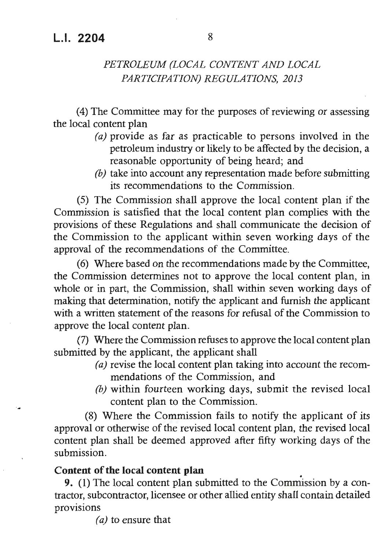(4) The Committee may for the purposes of reviewing or assessing the local content plan

- *(a)* provide as far as practicable to persons involved in the petroleum industry or likely to be affected by the decision, a reasonable opportunity of being heard; and
- *(b)* take into account any representation made before submitting its recommendations to the Commission.

(5) The Commission shall approve the local content plan if the Commission is satisfied that the local content plan complies with the provisions of these Regulations and shall communicate the decision of the Commission to the applicant within seven working days of the approval of the recommendations of the Committee.

(6) Where based on the recommendations made by the Committee, the Commission determines not to approve the local content plan, in whole or in part, the Commission, shall within seven working days of making that determination, notify the applicant and furnish the applicant with a written statement of the reasons for refusal of the Commission to approve the local content plan.

(7) Where the Commission refuses to approve the local content plan submitted by the applicant, the applicant shall

- *(a)* revise the local content plan taking into account the recommendations of the Commission, and
- *(b)* within fourteen working days, submit the revised local content plan to the Commission.

(8) Where the Commission fails to notify the applicant of its approval or otherwise of the revised local content plan, the revised local content plan shall be deemed approved after fifty working days of the submission.

#### **Content of the local content plan** .

-~

**9.** (1) The local content plan submitted to the Commission by a contractor, subcontractor, licensee or other allied entity shall contain detailed provisions

*(a)* to ensure that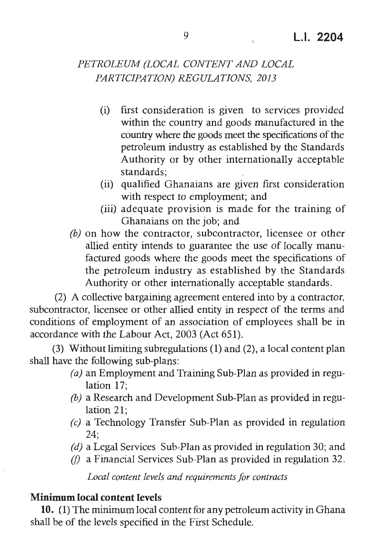- (i) first consideration is given to services provided within the country and goods manufactured in the country where the goods meet the specifications of the petroleum industry as established by the Standards Authority or by other internationally acceptable standards;
- (ii) qualified Ghanaians are given first consideration with respect to employment; and
- (iii) adequate provision is made for the training of Ghanaians on the job; and
- *(b)* on how the contractor, subcontractor, licensee or other allied entity intends to guarantee the use of locally manufactured goods where the goods meet the specifications of the petroleum industry as established by the Standards Authority or other internationally acceptable standards .

(2) A collective bargaining agreement entered into by a contractor, subcontractor, licensee or other allied entity in respect of the terms and conditions of employment of an association of employees shall be in accordance with the Labour Act, 2003 (Act 651).

(3) Without limiting subregulations (1) and (2), a local content plan shall have the following sub-plans:

- *(a)* an Employment and Training Sub-Plan as provided in regulation 17;
- *(b)* a Research and Development Sub-Plan as provided in regulation 21;
- *(c)* a Technology Transfer Sub-Plan as provided in regulation 24;
- *(d)* a Legal Services Sub-Plan as provided in regulation 30; and
- *(I)* a Financial Services Sub-Plan as provided in regulation 32.

*Local content levels and requirements for contracts* 

#### **Minimum local content levels**

**10.** (1) The minimum local content for any petroleum activity in Ghana shall be of the levels specified in the First Schedule.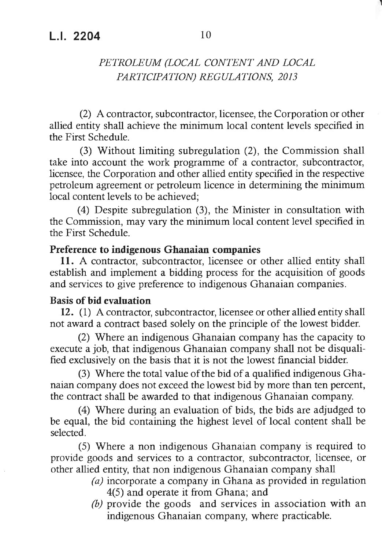(2) A contractor, subcontractor, licensee, the Corporation or other allied entity shall achieve the minimum local content levels specified in the First Schedule.

(3) Without limiting subregulation (2), the Commission shall take into account the work programme of a contractor, subcontractor, licensee, the Corporation and other allied entity specified in the respective petroleum agreement or petroleum licence in determining the minimum local content levels to be achieved;

(4) Despite subregulation (3), the Minister in consultation with the Commission, may vary the minimum local content level specified in the First Schedule .

## **Preference to indigenous Ghanaian companies**

**11.** A contractor, subcontractor, licensee or other allied entity shall establish and implement a bidding process for the acquisition of goods and services to give preference to indigenous Ghanaian companies.

#### **Basis of bid evaluation**

12. (1) A contractor, subcontractor, licensee or other allied entity shall not award a contract based solely on the principle of the lowest bidder.

(2) Where an indigenous Ghanaian company has the capacity to execute a job, that indigenous Ghanaian company shall not be disqualified exclusively on the basis that it is not the lowest financial bidder.

(3) Where the total value of the bid of a qualified indigenous Ghanaian company does not exceed the lowest bid by more than ten percent, the contract shall be awarded to that indigenous Ghanaian company .

(4) Where during an evaluation of bids, the bids are adjudged to be equal, the bid containing the highest level of local content shall be selected.

(5) Where a non indigenous Ghanaian company is required to provide goods and services to a contractor, subcontractor, licensee, or other allied entity, that non indigenous Ghanaian company shall

- *(a)* incorporate a company in Ghana as provided in regulation 4(5) and operate it from Ghana; and
- *(b)* provide the goods and services in association with an indigenous Ghanaian company, where practicable.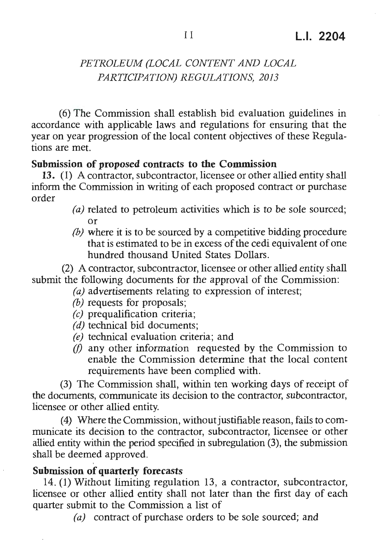(6) The Commission shall establish bid evaluation guidelines in accordance with applicable laws and regulations for ensuring that the year on year progression of the local content objectives of these Regulations are met.

#### **Submission of proposed contracts to the Commission**

13. (1) A contractor, subcontractor, licensee or other allied entity shall inform the Commission in writing of each proposed contract or purchase order

- *(a)* related to petroleum activities which is to be sole sourced; or
- *(b)* where it is to be sourced by a competitive bidding procedure that is estimated to be in excess of the cedi equivalent of one hundred thousand United States Dollars .

(2) A contractor, subcontractor, licensee or other allied entity shall submit the following documents for the approval of the Commission:

- *(a)* advertisements relating to expression of interest;
- *(b)* requests for proposals;
- *(c)* prequalification criteria;
- *(d)* technical bid documents;
- *(e)* technical evaluation criteria; and
- *(f)* any other information requested by the Commission to enable the Commission determine that the local content requirements have been complied with.

(3) The Commission shall, within ten working days of receipt of the documents, communicate its decision to the contractor, subcontractor, licensee or other allied entity.

(4) Where the Commission, without justifiable reason, fails to communicate its decision to the contractor, subcontractor, licensee or other allied entity within the period specified in subregulation (3), the submission shall be deemed approved.

#### **Submission of quarterly forecasts**

14. (1) Without limiting regulation 13, a contractor, subcontractor, licensee or other allied entity shall not later than the first day of each quarter submit to the Commission a list of

*(a)* contract of purchase orders to be sole sourced; and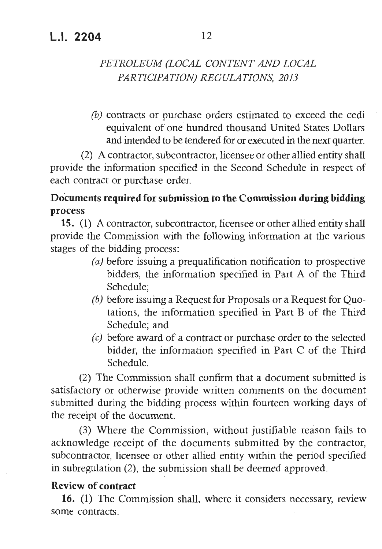## **L.I. 2204** 12

## *PETROLEUM (LOCAL CONTENT AND LOCAL PARTICIPATION) REGULATIONS, 2013*

*(b)* contracts or purchase orders estimated to exceed the cedi equivalent of one hundred thousand United States Dollars and intended to be tendered for or executed in the next quarter.

(2) A contractor, subcontractor, licensee or other allied entity shall provide the information specified in the Second Schedule in respect of each contract or purchase order.

## **Documents required for submission to the Commission during bidding process**

**15.** (1) A contractor, subcontractor, licensee or other allied entity shall provide the Commission with the following information at the various stages of the bidding process:

- *(a)* before issuing a prequalification notification to prospective bidders, the information specified in Part A of the Third Schedule;
- *(b)* before issuing a Request for Proposals or a Request for Quotations, the information specified in Part B of the Third Schedule; and
- *(c)* before award of a contract or purchase order to the selected bidder, the information specified in Part  $C$  of the Third Schedule.

(2) The Commission shall confirm that a document submitted is satisfactory or otherwise provide written comments on the document submitted during the bidding process within fourteen working days of the receipt of the document.

(3) Where the Commission, without justifiable reason fails to acknowledge receipt of the documents submitted by the contractor, subcontractor, licensee or other allied entity within the period specified in subregulation (2), the submission shall be deemed approved.

## **Review of contract**

16. (1) The Commission shall, where it considers necessary, review some contracts .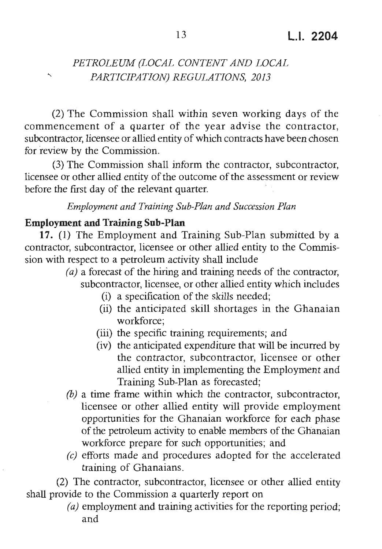(2) The Commission shall within seven working days of the commencement of a quarter of the year advise the contractor, subcontractor, licensee or allied entity of which contracts have been chosen for review by the Commission.

(3) The Commission shall inform the contractor, subcontractor, licensee or other allied entity of the outcome of the assessment or review before the first day of the relevant quarter.

#### *Employm ent and Training Sub-Plan and Succession Plan*

#### **Employment and Training Sub-Plan**

 $\overline{\phantom{0}}$ 

**17.** (1) The Employment and Training Sub-Plan submitted by a contractor, subcontractor, licensee or other allied entity to the Commission with respect to a petroleum activity shall include

- (a) a forecast of the hiring and training needs of the contractor, subcontractor, licensee, or other allied entity which includes
	- (i) a specification of the skills needed;
	- (ii) the anticipated skill shortages in the Ghanaian workforce:
	- (iii) the specific training requirements; and
	- (iv) the anticipated expenditure that will be incurred by the contractor, subcontractor, licensee or other allied entity in implementing the Employment and Training Sub-Plan as forecasted;
- *(b)* a time frame within which the contractor, subcontractor, licensee or other allied entity will provide employment opportunities for the Ghanaian workforce for each phase of the petroleum activity to enable members of the Ghanaian workforce prepare for such opportunities; and
- *(c)* efforts made and procedures adopted for the accelerated training of Ghanaians.

(2) The contractor, subcontractor, licensee or other allied entity shall provide to the Commission a quarterly report on

> *(a)* employment and training activities for the reporting period; and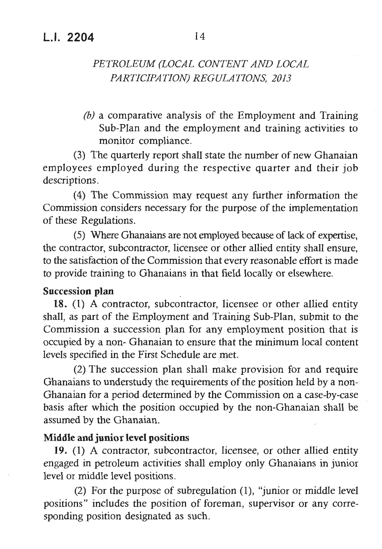*(b)* a comparative analysis of the Employment and Training Sub-Plan and the employment and training activities to monitor compliance.

(3) The quarterly report shall state the number of new Ghanaian employees employed during the respective quarter and their job descriptions.

(4) The Commission may request any further information the Commission considers necessary for the purpose of the implementation of these Regulations .

( 5) Where Ghanaians are not employed because of lack of expertise, the contractor, subcontractor, licensee or other allied entity shall ensure, to the satisfaction of the Commission that every reasonable effort is made to provide training to Ghanaians in that field locally or elsewhere .

#### **Succession plan**

18. (1) A contractor, subcontractor, licensee or other allied entity shall, as part of the Employment and Training Sub-Plan, submit to the Commission a succession plan for any employment position that is occupied by a non- Ghanaian to ensure that the minimum local content levels specified in the First Schedule are met.

(2) The succession plan shall make provision for and require Ghanaians to understudy the requirements of the position held by a non-Ghanaian for a period determined by the Commission on a case-by-case basis after which the position occupied by the non-Ghanaian shall be assumed by the Ghanaian.

#### **Middle and junior level positions**

19. (1) A contractor, subcontractor, licensee, or other allied entity engaged in petroleum activities shall employ only Ghanaians in junior level or middle level positions.

(2) For the purpose of subregulation (1), "junior or middle level positions" includes the position of foreman, supervisor or any corresponding position designated as such.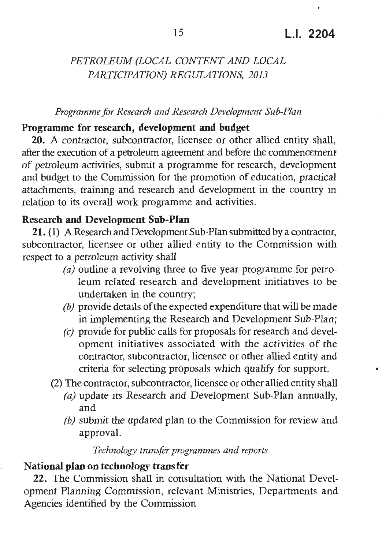#### *Programme for Research and Research Development Sub-Plan*

#### **Programme for research, development and budget**

**20.** A contractor, subcontractor, licensee or other allied entity shall, after the execution of a petroleum agreement and before the commencement of petroleum activities, submit a programme for research, development and budget to the Commission for the promotion of education, practical attachments, training and research and development in the country in relation to its overall work programme and activities.

#### **Research and Development Sub-Plan**

21. (1) A Research and Development Sub-Plan submitted by a contractor, subcontractor, licensee or other allied entity to the Commission with respect to a petroleum activity shall

- *(a)* outline a revolving three to five year programme for petroleum related research and development initiatives to be undertaken in the country;
- *(b)* provide details of the expected expenditure that will be made in implementing the Research and Development Sub-Plan;
- *(c)* provide for public calls for proposals for research and development initiatives associated with the activities of the contractor, subcontractor, licensee or other allied entity and criteria for selecting proposals which qualify for support. •
- (2) The contractor, subcontractor, licensee or other allied entity shall
	- *(a)* update its Research and Development Sub-Plan annually, and
	- *(b)* submit the updated plan to the Commission for review and approval.

#### *Technology transfer programmes and reports*

#### **National plan on technology transfer**

**22.** The Commission shall in consultation with the National Development Planning Commission, relevant Ministries, Departments and Agencies identified by the Commission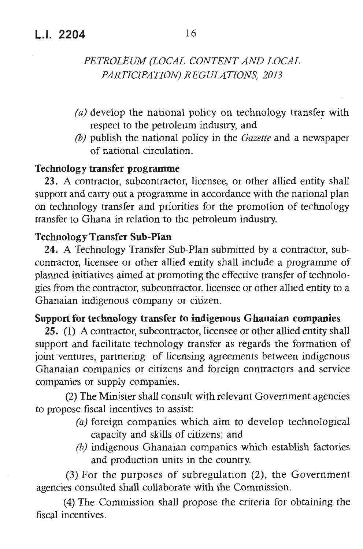- $(a)$  develop the national policy on technology transfer with respect to the petroleum industry, and
- *(b)* publish the national policy in the *Gazette* and a newspaper of national circulation .

#### **Technology transfer programme**

23. A contractor, subcontractor, licensee, or other allied entity shall support and carry out a programme in accordance with the national plan on technology transfer and priorities for the promotion of technology transfer to Ghana in relation to the petroleum industry.

#### **Technology Transfer Sub-Plan**

**24.** A Technology Transfer Sub-Plan submitted by a contractor, subcontractor, licensee or other allied entity shall include a programme of planned initiatives aimed at promoting the effective transfer of technologies from the contractor, subcontractor , licensee or other allied entity to a Ghanaian indigenous company or citizen.

## **Support for technology transfer to indigenous Ghanaian companies**

**25.** (1) A contractor, subcontractor, licensee or other allied entity shall support and facilitate technology transfer as regards the formation of joint ventures, partnering of licensing agreements between indigenous Ghanaian companies or citizens and foreign contractors and service companies or supply companies .

(2) The Minister shall consult with relevant Government agencies to propose fiscal incentives to assist:

- *(a)* foreign companies which aim to develop technological capacity and skills of citizens; and
- *(b)* indigenous Ghanaian companies which establish factories and production units in the country.

(3) For the purposes of subregulation (2), the Government agencies consulted shall collaborate with the Commission.

(4) The Commission shall propose the criteria for obtaining the fiscal incentives.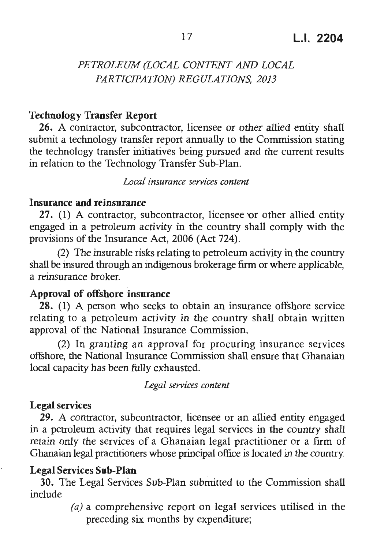#### **Technology Transfer Report**

**26.** A contractor, subcontractor, licensee or other allied entity shall submit a technology transfer report annually to the Commission stating the technology transfer initiatives being pursued and the current results in relation to the Technology Transfer Sub-Plan.

*Local insurance services content* 

#### **Insurance and reinsurance**

 $27.$  (1) A contractor, subcontractor, licensee or other allied entity engaged in a petroleum activity in the country shall comply with the provisions of the Insurance Act, 2006 (Act 724).

(2) The insurable risks relating to petroleum activity in the country shall be insured through an indigenous brokerage firm or where applicable , a reinsurance broker.

#### **Approval of offshore insurance**

28. (1) A person who seeks to obtain an insurance offshore service relating to a petroleum activity in the country shall obtain written approval of the National Insurance Commission.

(2) In granting an approval for procuring insurance services offshore, the National Insurance Commission shall ensure that Ghanaian local capacity has been fully exhausted.

*Legal services content* 

#### **Legal services**

29. A contractor, subcontractor, licensee or an allied entity engaged in a petroleum activity that requires legal services in the country shall retain only the services of a Ghanaian legal practitioner or a firm of Ghanaian legal practitioners whose principal office is located in the country.

#### **Legal Services Sub-Plan**

**30.** The Legal Services Sub-Plan submitted to the Commission shall include

> *(a)* a comprehensive report on legal services utilised in the preceding six months by expenditure;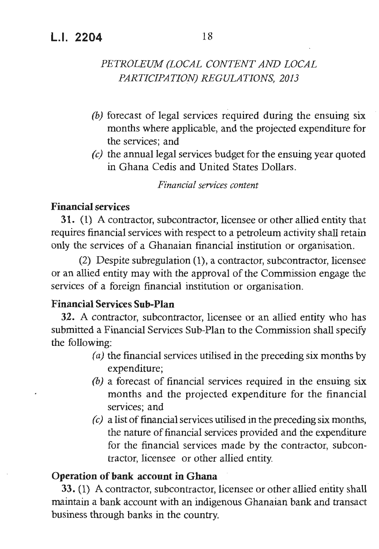## **LI. 2204** 18

## *PETROLEUM (LOCAL CONTENT AND LOCAL PARTICIPATION) REGULATIONS, 2013*

- *(b)* forecast of legal services required during the ensuing six months where applicable, and the projected expenditure for the services; and
- *(c)* the annual legal services budget for the ensuing year quoted in Ghana Cedis and United States Dollars.

*Financial services content* 

#### **Financial services**

**31.** (1) A contractor, subcontractor, licensee or other allied entity that requires financial services with respect to a petroleum activity shall retain only the services of a Ghanaian financial institution or organisation.

(2) Despite subregulation (1), a contractor, subcontractor, licensee or an allied entity may with the approval of the Commission engage the services of a foreign financial institution or organisation.

#### **Financial Services Sub-Plan**

**32.** A contractor, subcontractor, licensee or an allied entity who has submitted a Financial Services Sub-Plan to the Commission shall specify the following:

- *(a)* the financial services utilised in the preceding six months by expenditure;
- *(b)* a forecast of financial services required in the ensuing six months and the projected expenditure for the financial services; and
- *(c)* a list of financial services utilised in the preceding six months, the nature of financial services provided and the expenditure for the financial services made by the contractor, subcontractor, licensee or other allied entity.

#### **Operation of bank account** in **Ghana**

33. (1) A contractor, subcontractor, licensee or other allied entity shall maintain a bank account with an indigenous Ghanaian bank and transact business through banks in the country.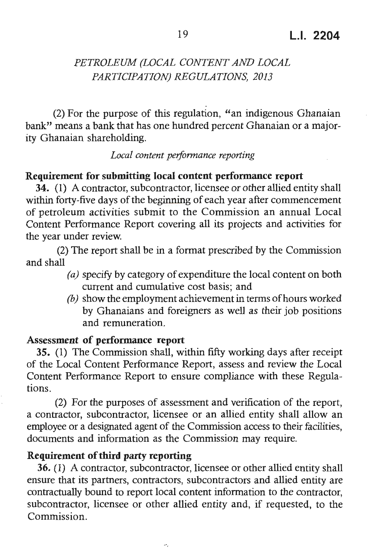(2) For the purpose of this regulation, "an indigenous Ghanaian bank" means a bank that has one hundred percent Ghanaian or a majority Ghanaian shareholding.

#### *Local content peiformance reporting*

#### **Requirement for submitting local content performance report**

**34.** (1) A contractor, subcontractor, licensee or other allied entity shall within forty-five days of the beginning of each year after commencement of petroleum activities submit to the Commission an annual Local Content Performance Report covering all its projects and activities for the year under review.

(2) The report shall be in a format prescribed by the Commission and shall

- *( a)* specify by category of expenditure the local content on both current and cumulative cost basis; and
- *(b)* show the employment achievement in terms of hours worked by Ghanaians and foreigners as well as their job positions and remuneration.

#### **Assessment of performance report**

35. (1) The Commission shall, **within** fifty working days after receipt of the Local Content Performance Report, assess and review the Local Content Performance Report to ensure compliance with these Regulations .

(2) For the purposes of assessment and verification of the report, a contractor, subcontractor, licensee or an allied entity shall allow an employee or a designated agent of the Commission access to their facilities, documents and information as the Commission may require.

#### **Requirement of third party reporting**

**36.** (1) A contractor, subcontractor, licensee or other allied entity shall ensure that its partners, contractors , subcontractors and allied entity are contractually bound to report local content information to the contractor, subcontractor, licensee or other allied entity and, if requested, to the Commission.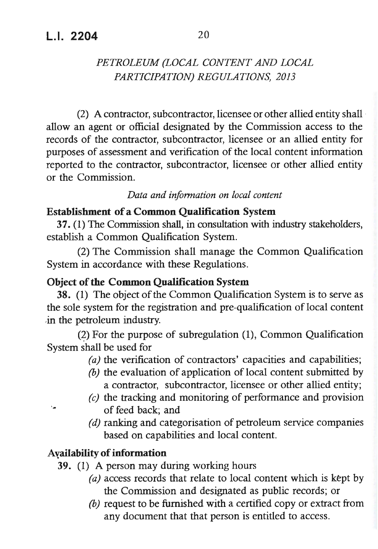(2) A contractor, subcontractor, licensee or other allied entity shall · allow an agent or official designated by the Commission access to the records of the contractor, subcontractor, licensee or an allied entity for purposes of assessment and verification of the local content information reported to the contractor, subcontractor, licensee or other allied entity or the Commission.

#### *Data and information on local content*

#### **Establishment of a Common Qualification System**

**37.** (1) The Commission shall, in consultation with industry stakeholders, establish a Common Qualification System.

• (2) The Commission shall manage the Common Qualification System in accordance with these Regulations.

#### **Object of the Common Qualification System**

38. (1) The object of the Common Qualification System is to serve as the sole system for the registration and pre-qualification of local content .in the petroleum industry.

 $(2)$  For the purpose of subregulation  $(1)$ , Common Qualification System shall be used for

- *(a)* the verification of contractors' capacities and capabilities;
- *(b)* the evaluation of application of local content submitted by a contractor, subcontractor, licensee or other allied entity;
- *(c)* the tracking and monitoring of performance and provision of feed back; and
- *(d)* ranking and categorisation of petroleum service companies based on capabilities and local content.

#### **Ayailability of information**

- **39.** (1) A person may during working hours
	- *(a)* access records that relate to local content which is kept by the Commission and designated as public records; or
	- *(b)* request to be furnished with a certified copy or extract from any document that that person is entitled to access.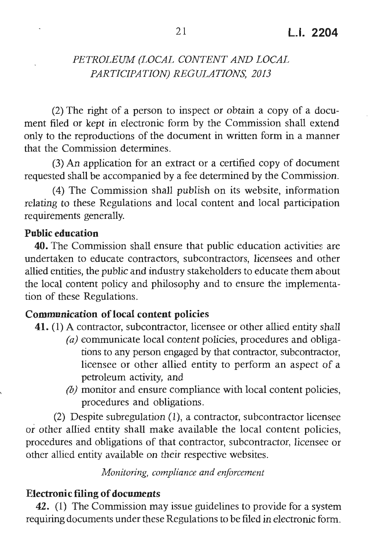(2) The right of a person to inspect or obtain a copy of a document filed or kept in electronic form by the Commission shall extend only to the reproductions of the document in written form in a manner that the Commission determines .

(3) An application for an extract or a certified copy of document requested shall be accompanied by a fee determined by the Commission.

(4) The Commission shall publish on its website, information relating to these Regulations and local content and local participation requirements generally.

#### **Public education**

40. The Commission shall ensure that public education activities are undertaken to educate contractors, subcontractors, licensees and other allied entities, the public and industry stakeholders to educate them about the local content policy and philosophy and to ensure the implementation of these Regulations .

#### **Communication of local content policies**

- **41.** (1) A contractor, subcontractor, licensee or other allied entity shall
	- *(a)* eommunicate local content policies, procedures and obligations to any person engaged by that contractor, subcontractor, licensee or other allied entity to perform an aspect of a petroleum activity, and
	- *(b)* monitor and ensure compliance with local content policies, procedures and obligations.

(2) Despite subregulation (1), a contractor, subcontractor licensee or other allied entity shall make available the local content policies , procedures and obligations of that contractor, subcontractor, licensee or other allied entity available on their respective websites.

*Monitoring, compliance and enforcement* 

#### **Electronic filing of documents**

42. (1) The Commission may issue guidelines to provide for a system requiring documents under these Regulations to be filed in electronic form.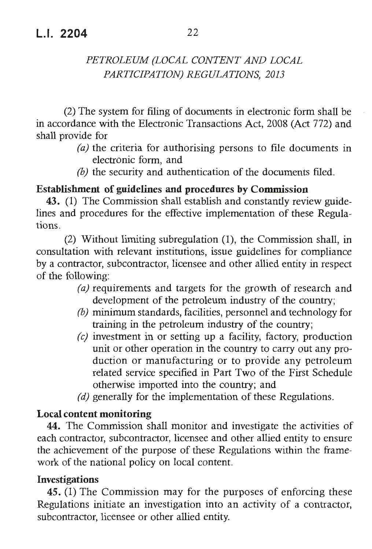(2) The system for filing of documents in electronic form shall be in accordance with the Electronic Transactions Act, 2008 (Act 772) and shall provide for

- *(a)* the criteria for authorising persons to file documents in electronic form, and
- *(b)* the security and authentication of the documents filed.

#### **Establishment of guidelines and procedures by Commission**

43. (1) The Commission shall establish and constantly review guidelines and procedures for the effective implementation of these Regulations .

(2) Without limiting subregulation (1), the Commission shall, in consultation with relevant institutions, issue guidelines for compliance by a contractor, subcontractor, licensee and other allied entity in respect of the following:

- *(a)* requirements and targets for the growth of research and development of the petroleum industry of the country;
- *(b)* minimum standards, facilities, personnel and technology for training in the petroleum industry of the country;
- *(c)* investment in or setting up a facility, factory, production unit or other operation in the country to carry out any production or manufacturing or to provide any petroleum related service specified in Part Two of the First Schedule otherwise imported into the country; and
- *(d)* generally for the implementation of these Regulations.

#### **Local content monitoring**

**44.** The Commission shall monitor and investigate the activities of each contractor, subcontractor, licensee and other allied entity to ensure the achievement of the purpose of these Regulations within the framework of the national policy on local content.

#### **Investigations**

**45.** (1) The Commission may for the purposes of enforcing these Regulations initiate an investigation into an activity of a contractor, subcontractor, licensee or other allied entity.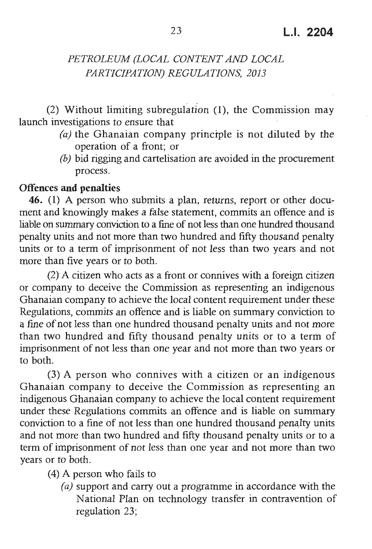(2) Without limiting subregulation **(1),** the Commission may launch investigations to ensure that

- *(a)* the Ghanaian company principle is not diluted by the operation of a front; or
- *(b)* bid rigging and cartelisation are avoided in the procurement process.

#### **Offences and penalties**

**46. (1)** A person who submits a plan, returns, report or other document and knowingly makes a false statement, commits an offence and is liable on summary conviction to a fine of not less than one hundred thousand penalty units and not more than two hundred and fifty thousand penalty units or to a term of imprisonment of not less than two years and not more than five years or to both.

(2) A citizen who acts as a front or connives with a foreign citizen or company to deceive the Commission as representing an indigenous Ghanaian company to achieve the local content requirement under these Regulations, commits an offence and is liable on summary conviction to a fine of not less than one hundred thousand penalty units and not more than two hundred and fifty thousand penalty units or to a term of imprisonment of not less than one year and not more than two years or to both.

(3) A person who connives with a citizen or an indigenous Ghanaian company to deceive the Commission as representing an indigenous Ghanaian company to achieve the local content requirement under these Regulations commits an offence and is liable on summary conviction to a fine of not less than one hundred thousand penalty units and not more than two hundred and fifty thousand penalty units or to a term of imprisonment of not less than one year and not more than two vears or to both.

(4) A person who fails to

*(a)* support and carry out a programme in accordance with the National Plan on technology transfer in contravention of regulation 23;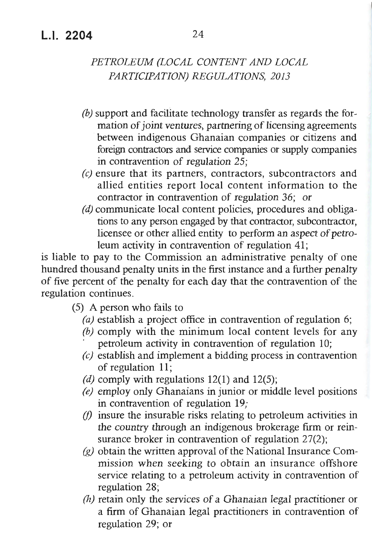- *(b)* support and facilltate technology transfer as regards the formation of joint ventures, partnering of licensing agreements between indigenous Ghanaian companies or citizens and foreign contractors and service companies or supply companies in contravention of regulation 25;
- *(c)* ensure that its partners, contractors, subcontractors and allied entities report local content information to the contractor in contravention of regulation 36; or
- *(d)* communicate local content policies, procedures and obligations to any person engaged by that contractor, subcontractor, licensee or other allied entity to perform an aspect of petroleum activity in contravention of regulation 41;

is liable to pay to the Commission an administrative penalty of one hundred thousand penalty units in the first instance and a further penalty of five percent of the penalty for each day that the contravention of the regulation continues .

- (5) A person who fails to
	- *(a)* establish a project office in contravention of regulation 6;
	- *(b)* comply with the minimum local content levels for any petroleum activity in contravention of regulation 10;
	- *(c)* establish and implement a bidding process in contravention of regulation 11;
	- *(d)* comply with regulations 12(1) and 12(5);
	- *(e)* employ only Ghanaians in junior or middle level positions in contravention of regulation 19;
	- *(f)* insure the insurable risks relating to petroleum activities in the country through an indigenous brokerage firm or reinsurance broker in contravention of regulation 27(2);
	- *(g)* obtain the written approval of the National Insurance Commission when seeking to obtain an insurance offshore service relating to a petroleum activity in contravention of regulation 28;
	- *(h)* retain only the services of a Ghanaian legal practitioner or a firm of Ghanaian legal practitioners in contravention of regulation 29; or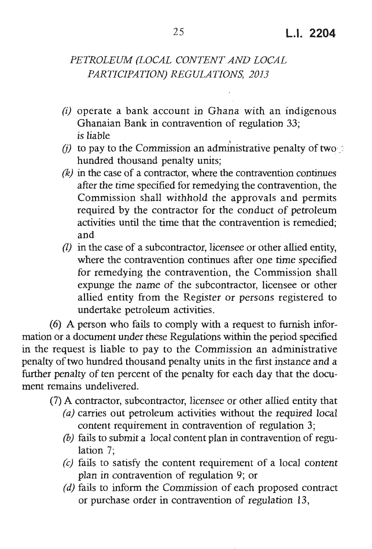- (i) operate a bank account in Ghana with an indigenous Ghanaian Bank in contravention of regulation 33; is liable
- $(i)$  to pay to the Commission an administrative penalty of two hundred thousand penalty units;
- *(k)* in the case of a contractor, where the contravention continues after the time specified for remedying the contravention , the Commission shall withhold the approvals and permits required by the contractor for the conduct of petroleum activities until the time that the contravention is remedied: and
- *(!)* in the case of a subcontractor, licensee or other allied entity, where the contravention continues after one time specified for remedying the contravention, the Commission shall expunge the name of the subcontractor, licensee or other allied entity from the Register or persons registered to undertake petroleum activities.

(6) A person who fails to comply with a request to furnish information or a document under these Regulations within the period specified in the request is liable to pay to the Commission an administrative penalty of two hundred thousand penalty units in the first instance and a further penalty of ten percent of the penalty for each day that the document remains undelivered.

- (7) A contractor, subcontractor, licensee or other allied entity that
	- *(a)* carries out petroleum activities without the required local content requirement in contravention of regulation 3;
	- *(b)* fails to submit a local content plan in contravention of regulation 7;
	- *(c)* fails to satisfy the content requirement of a local content plan in contravention of regulation 9; or
	- *(d)* fails to inform the Commission of each proposed contract or purchase order in contravention of regulation 13,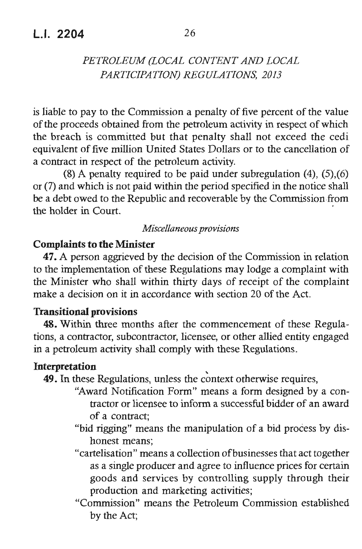is liable to pay to the Commission a penalty of five percent of the value of the proceeds obtained from the petroleum activity in respect of which the breach is committed but that penalty shall not exceed the cedi equivalent of five million United States Dollars or to the cancellation of a contract in respect of the petroleum activity.

(8) A penalty required to be paid under subregulation (4), (5),(6) or (7) and which is not paid within the period specified in the notice shall be a debt owed to the Republic and recoverable by the Commission from the holder in Court.

#### *Miscellaneous provisions*

#### **Complaints to the Minister**

**47.** A person aggrieved by the decision of the Commission in relation to the implementation of these Regulations may lodge a complaint with the Minister who shall within thirty days of receipt of the complaint make a decision on it in accordance with section 20 of the Act.

#### **Transitional provisions**

**48.** Within three months after the commencement of these Regulations, a contractor, subcontractor, licensee, or other allied entity engaged in a petroleum activity shall comply with these Regulations.

**Interpretation**<br>**49.** In these Regulations, unless the context otherwise requires,

- "Award Notification Form" means a form designed by a contractor or licensee to inform a successful bidder of an award of a contract;
- "bid rigging" means the manipulation of a bid process by dishonest means;
- "cartelisation" means a collection of businesses that act together as a single producer and agree to influence prices for certain goods and services by controlling supply through their production and marketing activities;
- "Commission" means the Petroleum Commission established by the Act;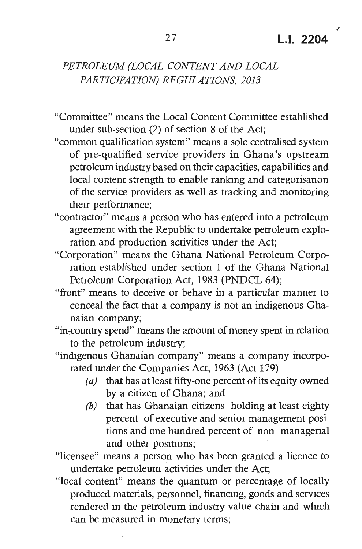./

## *PETROLEUM (LOCAL CONTENT AND LOCAL PARTICIPATION) REGULATIONS , 2013*

- "Committee" means the Local Content Committee established under sub-section (2) of section 8 of the Act;
- "common qualification system" means a sole centralised system of pre-qualified service providers in Ghana's upstream petroleum industry based on their capacities, capabilities and local content strength to enable ranking and categorisation of the service providers as well as tracking and monitoring their performance;
- "contractor" means a person who has entered into a petroleum agreement with the Republic to undertake petroleum exploration and production activities under the Act;
- "Corporation" means the Ghana National Petroleum Corporation established under section 1 of the Ghana National Petroleum Corporation Act, 1983 (PNDCL 64);
- "front" means to deceive or behave in a particular manner to conceal the fact that a company is not an indigenous Ghanaian company;
- "in-country spend" means the amount of money spent in relation to the petroleum industry;
- "indigenous Ghanaian company" means a company incorporated under the Companies Act, 1963 (Act 179)
	- *(a)* that has at least fifty-one percent of its equity owned by a citizen of Ghana; and
	- *(b)* that has Ghanaian citizens holding at least eighty percent of executive and senior management positions and one hundred percent of non-managerial and other positions;

"licensee" means a person who has been granted a licence to undertake petroleum activities under the Act;

"local content" means the quantum or percentage of locally produced materials, personnel, financing, goods and services rendered in the petroleum industry value chain and which can be measured in monetary terms;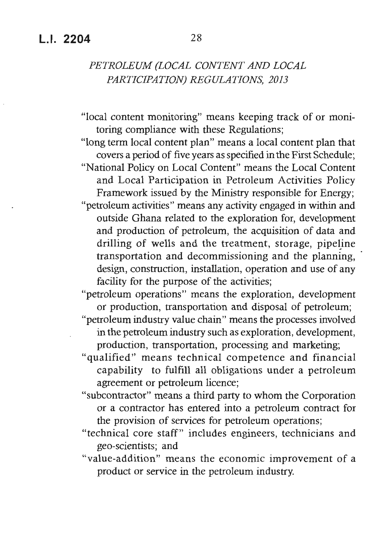"local content monitoring" means keeping track of or monitoring compliance with these Regulations;

"long term local content plan" means a local content plan that covers a period of five years as specified in the First Schedule; "National Policy on Local Content" means the Local Content and Local Participation in Petroleum Activities Policy Framework issued by the Ministry responsible for Energy; "petroleum activities" means any activity engaged in within and outside Ghana related to the exploration for, development and production of petroleum, the acquisition of data and drilling of wells and the treatment, storage, pipeline transportation and decommissioning and the planning, design, construction, installation, operation and use of any facility for the purpose of the activities;

"petroleum operations" means the exploration, development or production, transportation and disposal of petroleum;

"petroleum industry value chain" means the processes involved in the petroleum industry such as exploration, development, production, transportation, processing and marketing;

- "qualified" means technical competence and financial capability to fulfill all obligations under a petroleum agreement or petroleum licence;
- "subcontractor" means a third party to whom the Corporation or a contractor has entered into a petroleum contract for the provision of services for petroleum operations;
- "technical core staff" includes engineers, technicians and geo-scientists; and
- "value-addition" means the economic improvement of a product or service in the petroleum industry.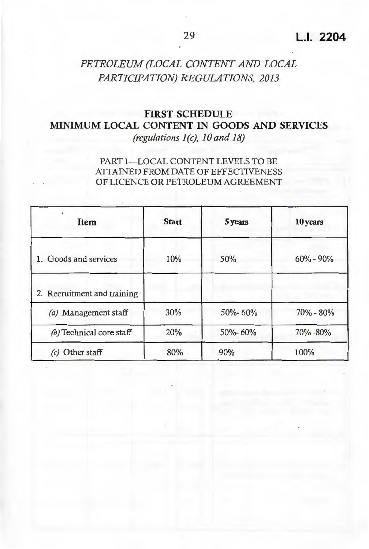## **FIRST SCHEDULE MINIMUM LOCAL CONTENT** IN **GOODS AND SERVICES**  *(regulations I (c), IO and 18)*

#### PART 1-LOCAL CONTENT LEVELS TO BE ATTAINED FROM DATE OF EFFECTIVENESS OF LICENCE OR PETROLEUM AGREEMENT

| Item                             | <b>Start</b> | 5 years | 10 years      |
|----------------------------------|--------------|---------|---------------|
| 1. Goods and services            | 10%          | 50%     | $60\% - 90\%$ |
| 2. Recruitment and training      |              |         |               |
| (a) Management staff             | 30%          | 50%-60% | $70\% - 80\%$ |
| (b) Technical core staff         | 20%          | 50%-60% | 70% -80%      |
| Other staff<br>$\left( c\right)$ | 80%          | 90%     | 100%          |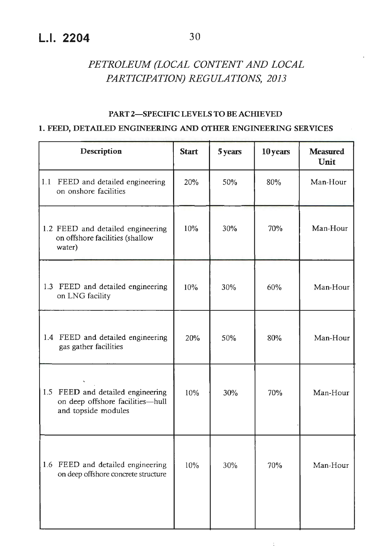## **L.I. 2204** 30

## *PETROLEUM (LOCAL CONTENT AND LOCAL PARTICIPATION) REGULATIONS, 2013*

#### **PART 2-SPECIFIC LEVELS TO BE ACffiEVED**

#### **1. FEED, DETAILED ENGINEERING AND OTHER ENGINEERING SERVICES**

| <b>Start</b> | 5 years | 10 years | <b>Measured</b><br>Unit |
|--------------|---------|----------|-------------------------|
| 20%          | 50%     | 80%      | Man-Hour                |
| 10%          | 30%     | 70%      | Man-Hour                |
| 10%          | 30%     | 60%      | Man-Hour                |
| 20%          | 50%     | 80%      | Man-Hour                |
| 10%          | 30%     | 70%      | Man-Hour                |
| 10%          | 30%     | 70%      | Man-Hour                |
|              |         |          |                         |

t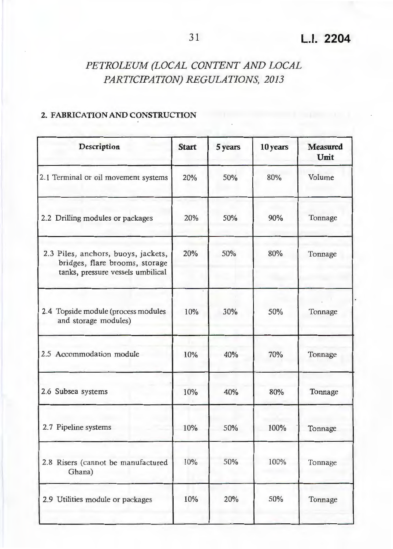#### **2. FABRICATION AND CONSTRUCTION**

| Description                                                                                                | <b>Start</b> | 5 years | 10 years | <b>Measured</b><br>Unit |
|------------------------------------------------------------------------------------------------------------|--------------|---------|----------|-------------------------|
| 2.1 Terminal or oil movement systems                                                                       | 20%          | 50%     | 80%      | Volume                  |
| 2.2 Drilling modules or packages                                                                           | 20%          | 50%     | 90%      | Tonnage                 |
| 2.3 Piles, anchors, buoys, jackets,<br>bridges, flare brooms, storage<br>tanks, pressure vessels umbilical | 20%          | 50%     | 80%      | Tonnage                 |
| 2.4 Topside module (process modules<br>and storage modules)                                                | 10%          | 30%     | 50%      | Tonnage                 |
| 2.5 Accommodation module                                                                                   | 10%          | 40%     | 70%      | Tonnage                 |
| 2.6 Subsea systems                                                                                         | 10%          | 40%     | 80%      | Tonnage                 |
| 2.7 Pipeline systems                                                                                       | 10%          | 50%     | 100%     | Tonnage                 |
| 2.8 Risers (cannot be manufactured<br>Ghana)                                                               | 10%          | 50%     | 100%     | Tonnage                 |
| 2.9 Utilities module or packages                                                                           | 10%          | 20%     | 50%      | Tonnage                 |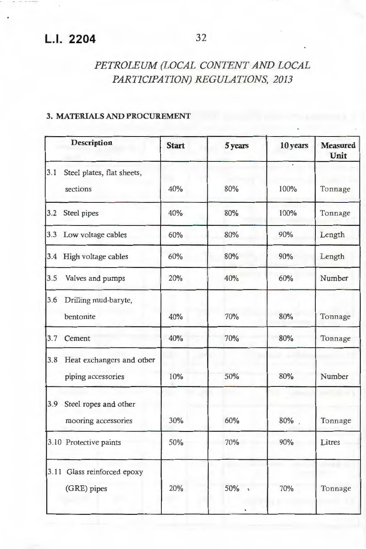#### **3.MATERIALSAND PROCUREMENT**

|     | <b>Description</b>                                  | <b>Start</b> | 5 years    | 10 years | <b>Measured</b><br>Unit |
|-----|-----------------------------------------------------|--------------|------------|----------|-------------------------|
| 3.1 | Steel plates, flat sheets,<br>sections              | 40%          | 80%        | 100%     | Tonnage                 |
| 3.2 | Steel pipes                                         | 40%          | 80%        | 100%     | Tonnage                 |
|     | 3.3 Low voltage cables                              | 60%          | 80%        | 90%      | Length                  |
|     | 3.4 High voltage cables                             | 60%          | 80%        | 90%      | Length                  |
| 3.5 | Valves and pumps                                    | 20%          | 40%        | 60%      | Number                  |
| 3.6 | Drilling mud-baryte,<br>bentonite                   | 40%          | 70%        | 80%      | Tonnage                 |
| 3.7 | Cement                                              | 40%          | 70%        | 80%      | Tonnage                 |
|     | 3.8 Heat exchangers and other<br>piping accessories | 10%          | 50%        | 80%      | Number                  |
|     | 3.9 Steel ropes and other<br>mooring accessories    | 30%          | 60%        | 80%      | Tonnage                 |
|     | 3.10 Protective paints                              | 50%          | 70%        | 90%      | Litres                  |
|     | 3.11 Glass reinforced epoxy<br>(GRE) pipes          | 20%          | 50%<br>70% |          | Tonnage                 |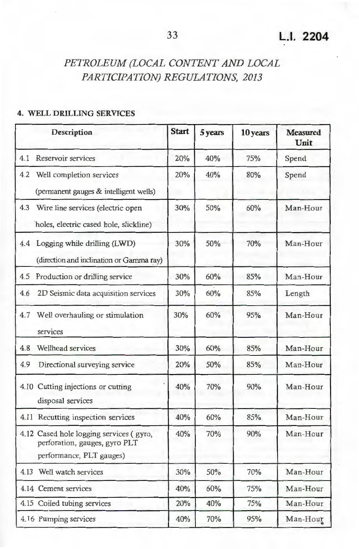#### **4. WELL DRILLING SERVICES**

| Description                                                                                          | <b>Start</b> | 5 years | 10 years | <b>Measured</b><br>Unit |
|------------------------------------------------------------------------------------------------------|--------------|---------|----------|-------------------------|
| 4.1<br>Reservoir services                                                                            | 20%          | 40%     | 75%      | Spend                   |
| 4.2 Well completion services                                                                         | 20%          | 40%     | 80%      | Spend                   |
| (permanent gauges & intelligent wells)                                                               |              |         |          |                         |
| 4.3 Wire line services (electric open<br>holes, electric cased hole, slickline)                      | 30%          | 50%     | 60%      | Man-Hour                |
| 4.4 Logging while drilling (LWD)<br>(direction and inclination or Gamma ray)                         | 30%          | 50%     | 70%      | Man-Hour                |
| 4.5 Production or drilling service                                                                   | 30%          | 60%     | 85%      | Man-Hour                |
| 4.6<br>2D Seismic data acquisition services                                                          | 30%          | 60%     | 85%      | Length                  |
| 4.7 Well overhauling or stimulation<br>services                                                      | 30%          | 60%     | 95%      | Man-Hour                |
| Wellhead services<br>4.8                                                                             | 30%          | 60%     | 85%      | Man-Hour                |
| 4.9<br>Directional surveying service                                                                 | 20%          | 50%     | 85%      | Man-Hour                |
| 4.10 Cutting injections or cutting<br>disposal services                                              | 40%          | 70%     | 90%      | Man-Hour                |
| 4.11 Recutting inspection services                                                                   | 40%          | 60%     | 85%      | Man-Hour                |
| 4.12 Cased hole logging services (gyro,<br>perforation, gauges, gyro PLT<br>performance, PLT gauges) | 40%          | 70%     | 90%      | Man-Hour                |
| 4.13 Well watch services                                                                             | 30%          | 50%     | 70%      | Man-Hour                |
| 4.14 Cement services                                                                                 | 40%          | 60%     | 75%      | Man-Hour                |
| 4.15 Coiled tubing services                                                                          | 20%          | 40%     | 75%      | Man-Hour                |
| 4.16 Pumping services                                                                                | 40%          | 70%     | 95%      | Man-Hour                |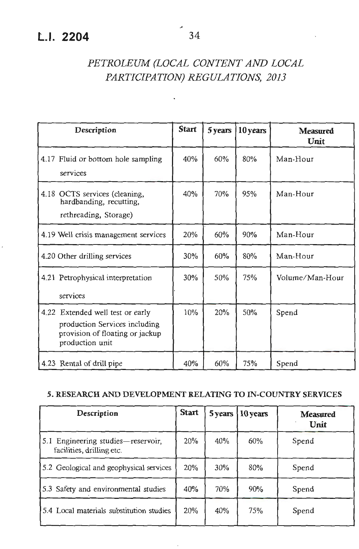| Description                                                                                                             | <b>Start</b> | 5 years | 10 years | <b>Measured</b><br>Unit |
|-------------------------------------------------------------------------------------------------------------------------|--------------|---------|----------|-------------------------|
| 4.17 Fluid or bottom hole sampling<br>services                                                                          | 40%          | 60%     | 80%      | Man-Hour                |
| 4.18 OCTS services (cleaning,<br>hardbanding, recutting,<br>rethreading, Storage)                                       | 40%          | 70%     | 95%      | Man-Hour                |
| 4.19 Well crisis management services                                                                                    | 20%          | 60%     | 90%      | Man-Hour                |
| 4.20 Other drilling services                                                                                            | 30%          | 60%     | 80%      | Man-Hour                |
| 4.21 Petrophysical interpretation<br>services                                                                           | 30%          | 50%     | 75%      | Volume/Man-Hour         |
| 4.22 Extended well test or early<br>production Services including<br>provision of floating or jackup<br>production unit | 10%          | 20%     | 50%      | Spend                   |
| 4.23 Rental of drill pipe                                                                                               | 40%          | 60%     | 75%      | Spend                   |

#### **5. RESEARCH AND DEVELOPMENT RELATING TO IN-COUNTRY SERVICES**

| Description                                                     | <b>Start</b> | 5 years | 10 years | <b>Measured</b><br><b>Unit</b> |
|-----------------------------------------------------------------|--------------|---------|----------|--------------------------------|
| 5.1 Engineering studies-reservoir,<br>facilities, drilling etc. | 20%          | 40%     | 60%      | Spend                          |
| 5.2 Geological and geophysical services                         | 20%          | 30%     | 80%      | Spend                          |
| 5.3 Safety and environmental studies                            | 40%          | 70%     | 90%      | Spend                          |
| 5.4 Local materials substitution studies                        | 20%          | 40%     | 75%      | Spend                          |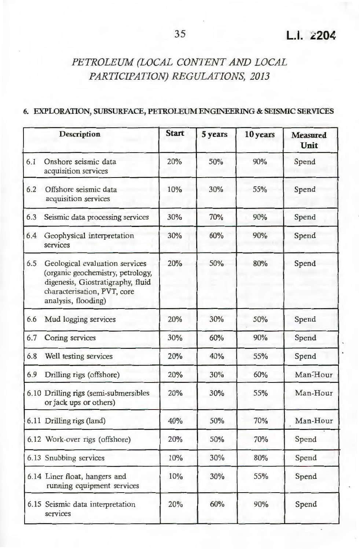#### **6. EXPLORATION, SUBSURFACE, PETROLEUM ENGINEERING & SEISMIC SERVICES**

|     | Description                                                                                                                                                    | <b>Start</b> | 5 years | 10 years | <b>Measured</b><br>Unit |
|-----|----------------------------------------------------------------------------------------------------------------------------------------------------------------|--------------|---------|----------|-------------------------|
| 6.1 | Onshore seismic data<br>acquisition services                                                                                                                   | 20%          | 50%     | 90%      | Spend                   |
| 6.2 | Offshore seismic data<br>acquisition services                                                                                                                  | 10%          | 30%     | 55%      | Spend                   |
| 6.3 | Seismic data processing services                                                                                                                               | 30%          | 70%     | 90%      | Spend                   |
| 6.4 | Geophysical interpretation<br>services                                                                                                                         | 30%          | 60%     | 90%      | Spend                   |
| 6.5 | Geological evaluation services<br>(organic geochemistry, petrology,<br>digenesis, Giostratigraphy, fluid<br>characterisation, PVT, core<br>analysis, flooding) | 20%          | 50%     | 80%      | Spend                   |
| 6.6 | Mud logging services                                                                                                                                           | 20%          | 30%     | 50%      | Spend                   |
| 6.7 | Coring services                                                                                                                                                | 30%          | 60%     | 90%      | Spend                   |
| 6.8 | Well testing services                                                                                                                                          | 20%          | 40%     | 55%      | Spend                   |
| 6.9 | Drilling rigs (offshore)                                                                                                                                       | 20%          | 30%     | 60%      | Man-Hour                |
|     | 6.10 Drilling rigs (semi-submersibles<br>or jack ups or others)                                                                                                | 20%          | 30%     | 55%      | Man-Hour                |
|     | 6.11 Drilling rigs (land)                                                                                                                                      | 40%          | 50%     | 70%      | Man-Hour                |
|     | 6.12 Work-over rigs (offshore)                                                                                                                                 | 20%          | 50%     | 70%      | Spend                   |
|     | 6.13 Snubbing services                                                                                                                                         | 10%          | 30%     | 80%      | Spend                   |
|     | 6.14 Liner float, hangers and<br>running equipment services                                                                                                    | 10%          | 30%     | 55%      | Spend                   |
|     | 6.15 Seismic data interpretation<br>services                                                                                                                   | 20%          | 60%     | 90%      | Spend                   |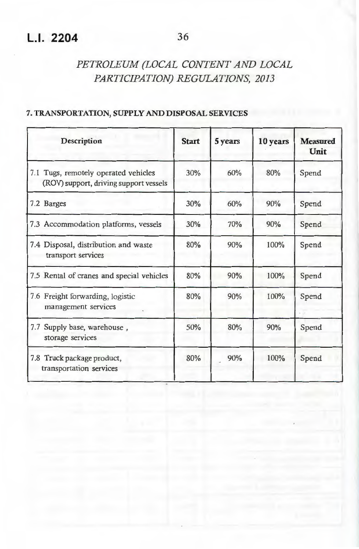#### **7. TRANSPORTATION, SUPPLY AND DISPOSAL SERVICES**

| Description                                                                       | <b>Start</b> | 5 years | 10 years | <b>Measured</b><br>Unit |
|-----------------------------------------------------------------------------------|--------------|---------|----------|-------------------------|
| Tugs, remotely operated vehicles<br>7.1<br>(ROV) support, driving support vessels | 30%          | 60%     | 80%      | Spend                   |
| 7.2 Barges                                                                        | 30%          | 60%     | 90%      | Spend                   |
| 7.3 Accommodation platforms, vessels                                              | 30%          | 70%     | 90%      | Spend                   |
| 7.4 Disposal, distribution and waste<br>transport services                        | 80%          | 90%     | 100%     | Spend                   |
| 7.5 Rental of cranes and special vehicles                                         | 80%          | 90%     | 100%     | Spend                   |
| 7.6 Freight forwarding, logistic<br>management services                           | 80%          | 90%     | 100%     | Spend                   |
| 7.7<br>Supply base, warehouse,<br>storage services                                | 50%          | 80%     | 90%      | Spend                   |
| 7.8 Truck package product,<br>transportation services                             | 80%          | 90%     | 100%     | Spend                   |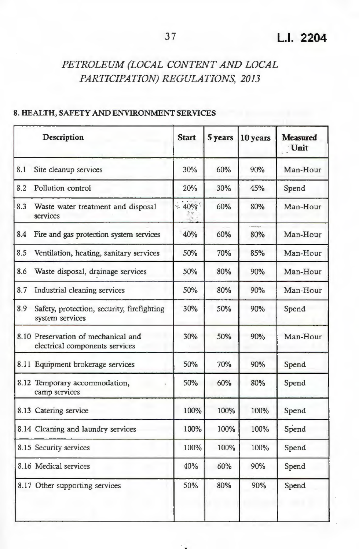#### **8. HEALTH, SAFETY AND ENVIRONMENT SERVICES**

|     | Description                                                           | <b>Start</b> | 5 years | 10 years | <b>Measured</b><br>Unit |
|-----|-----------------------------------------------------------------------|--------------|---------|----------|-------------------------|
| 8.1 | Site cleanup services                                                 | 30%          | 60%     | 90%      | Man-Hour                |
| 8.2 | Pollution control                                                     | 20%          | 30%     | 45%      | Spend                   |
| 8.3 | Waste water treatment and disposal<br>services                        | $-40\%$      | 60%     | 80%      | Man-Hour                |
| 8.4 | Fire and gas protection system services                               | 40%          | 60%     | 80%      | Man-Hour                |
| 8.5 | Ventilation, heating, sanitary services                               | 50%          | 70%     | 85%      | Man-Hour                |
| 8.6 | Waste disposal, drainage services                                     | 50%          | 80%     | 90%      | Man-Hour                |
| 8.7 | Industrial cleaning services                                          | 50%          | 80%     | 90%      | Man-Hour                |
| 8.9 | Safety, protection, security, firefighting<br>system services         | 30%          | 50%     | 90%      | Spend                   |
|     | 8.10 Preservation of mechanical and<br>electrical components services | 30%          | 50%     | 90%      | Man-Hour                |
|     | 8.11 Equipment brokerage services                                     | 50%          | 70%     | 90%      | Spend                   |
|     | 8.12 Temporary accommodation,<br>camp services                        | 50%          | 60%     | 80%      | Spend                   |
|     | 8.13 Catering service                                                 | 100%         | 100%    | 100%     | Spend                   |
|     | 8.14 Cleaning and laundry services                                    | 100%         | 100%    | 100%     | Spend                   |
|     | 8.15 Security services                                                | 100%         | 100%    | 100%     | Spend                   |
|     | 8.16 Medical services                                                 | 40%          | 60%     | 90%      | Spend                   |
|     | 8.17 Other supporting services                                        | 50%          | 80%     | 90%      | Spend                   |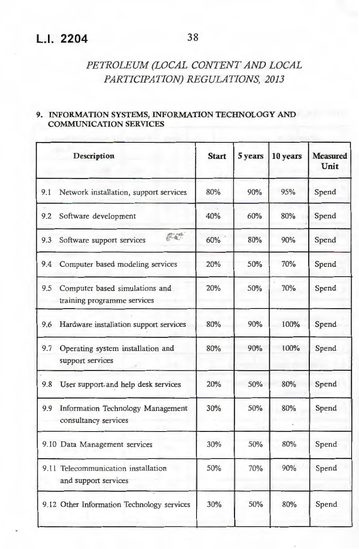## **L.I. 2204** 38

## *PETROLEUM (LOCAL CONTENT AND LOCAL PARTICIPATION) REGULATIONS, 2013*

#### **9. INFORMATION SYSTEMS, INFORMATION TECHNOLOGY AND COMMUNICATION SERVICES**

|     | Description                                                   | <b>Start</b> | 5 years | 10 years | <b>Measured</b><br>Unit |
|-----|---------------------------------------------------------------|--------------|---------|----------|-------------------------|
| 9.1 | Network installation, support services                        | 80%          | 90%     | 95%      | Spend                   |
|     | 9.2 Software development                                      | 40%          | 60%     | 80%      | Spend                   |
| 9.3 | 花草<br>Software support services                               | 60%          | 80%     | 90%      | Spend                   |
| 9.4 | Computer based modeling services                              | 20%          | 50%     | 70%      | Spend                   |
| 9.5 | Computer based simulations and<br>training programme services | 20%          | 50%     | 70%      | Spend                   |
| 9.6 | Hardware installation support services                        | 80%          | 90%     | 100%     | Spend                   |
| 9.7 | Operating system installation and<br>support services         | 80%          | 90%     | 100%     | Spend                   |
| 9.8 | User support and help desk services                           | 20%          | 50%     | 80%      | Spend                   |
| 9.9 | Information Technology Management<br>consultancy services     | 30%          | 50%     | 80%      | Spend                   |
|     | 9.10 Data Management services                                 | 30%          | 50%     | 80%      | Spend                   |
|     | 9.11 Telecommunication installation<br>and support services   | 50%          | 70%     | 90%      | Spend                   |
|     | 9.12 Other Information Technology services                    | 30%          | 50%     | 80%      | Spend                   |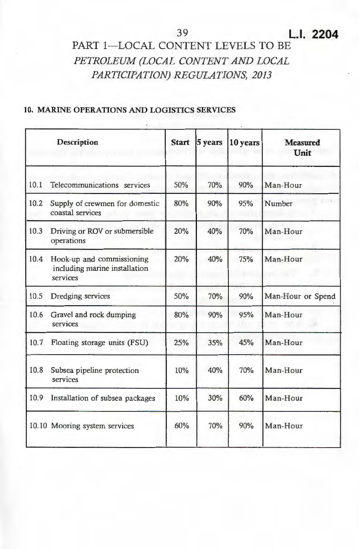## 39 **LI. 2204**

## PART 1-LOCAL CONTENT LEVELS TO BE *PETROLEUM (LOCAL CONTENT AND LOCAL PARTICIPATION) REGULATIONS, 2013*

#### **10. MARINE OPERATIONS AND LOGISTICS SERVICES**

|      | <b>Description</b>                                                     | <b>Start</b> | 5 years | 10 years | <b>Measured</b><br>Unit      |
|------|------------------------------------------------------------------------|--------------|---------|----------|------------------------------|
| 10.1 | Telecommunications services                                            | 50%          | 70%     | 90%      | Man-Hour                     |
| 10.2 | Supply of crewmen for domestic<br>coastal services                     | 80%          | 90%     | 95%      | Number                       |
| 10.3 | Driving or ROV or submersible<br>operations                            | 20%          | 40%     | 70%      | Man-Hour                     |
| 10.4 | Hook-up and commissioning<br>including marine installation<br>services | 20%          | 40%     | 75%      | Man-Hour<br><b>The State</b> |
| 10.5 | Dredging services                                                      | 50%          | 70%     | 90%      | Man-Hour or Spend            |
| 10.6 | Gravel and rock dumping<br>services                                    | 80%          | 90%     | 95%      | Man-Hour                     |
| 10.7 | Floating storage units (FSU)                                           | 25%          | 35%     | 45%      | Man-Hour                     |
| 10.8 | Subsea pipeline protection<br>services                                 | 10%          | 40%     | 70%      | Man-Hour                     |
| 10.9 | Installation of subsea packages                                        | 10%          | 30%     | 60%      | Man-Hour                     |
|      | 10.10 Mooring system services                                          | 60%          | 70%     | 90%      | Man-Hour                     |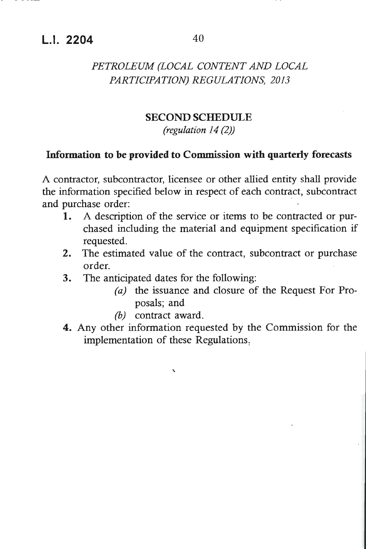## **L.I. 2204** 40

## *PETROLEUM (LOCAL CONTENT AND LOCAL PARTICIPATION) REGULATIONS, 2013*

#### **SECOND SCHEDULE**

*(regulation 14 (2))* 

## **Information to be provided to Commission with quarterly forecasts**

A contractor, subcontractor, licensee or other allied entity shall provide the information specified below in respect of each contract, subcontract and purchase order:

- **1.** A description of the service or items to be contracted or purchased including the material and equipment specification if requested.
- **2.** The estimated value of the contract, subcontract or purchase order.
- **3.** The anticipated dates for the following:
	- *(a)* the issuance and closure of the Request For Proposals; and
	- *(b)* contract award.

'

**4.** Any other information requested by the Commission for the implementation of these Regulations,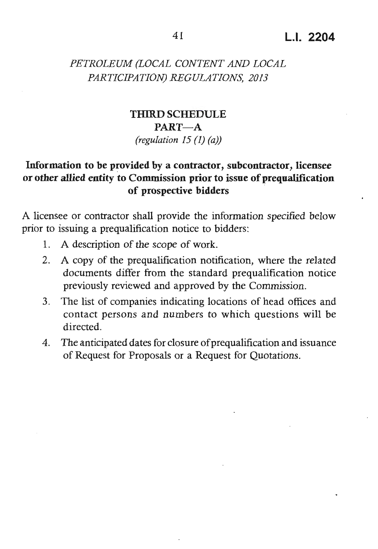## **THIRDSCHEDULE PART-A** *(regulation 15 (1) (a))*

## **Information to be provided by a contractor, subcontractor, licensee or other allied entity to Commission prior to issue of prequalification of prospective bidders**

A licensee or contractor shall provide the information specified below prior to issuing a prequalification notice to bidders:

- **1.** A description of the scope of work.
- 2. A copy of the prequalification notification, where the related documents differ from the standard prequalification notice previously reviewed and approved by the Commission.
- 3. The list of companies indicating locations of head offices and contact persons and numbers to which questions will be directed.
- 4. The anticipated dates for closure ofprequalification and issuance of Request for Proposals or a Request for Quotations.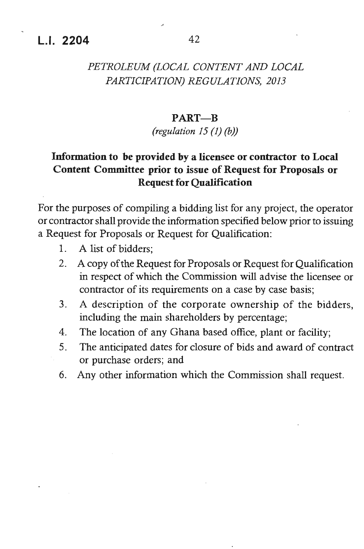## **L.I. 2204** 42

## *PETROLEUM (LOCAL CONTENT AND LOCAL PARTICIPATION) REGULATIONS, 2013*

#### **PART-B**

#### *(regulation 15 (I) (b))*

## **Information to be provided by a licensee or contractor to Local Content Committee prior to issue of Request for Proposals or Request for Qualification**

For the purposes of compiling a bidding list for any project, the operator or contractor shall provide the information specified below prior to issuing a Request for Proposals or Request for Qualification:

- I. A list of bidders;
- 2. A copy of the Request for Proposals or Request for Qualification in respect of which the Commission will advise the licensee or contractor of its requirements on a case by case basis;
- 3. A description of the corporate ownership of the bidders, including the main shareholders by percentage;
- 4. The location of any Ghana based office, plant or facility;
- 5. The anticipated dates for closure of bids and award of contract or purchase orders; and
- 6. Any other information which the Commission shall request.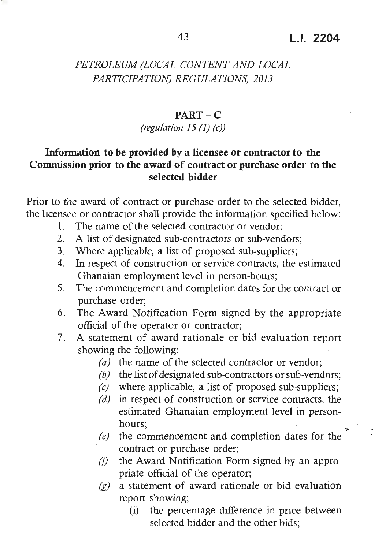·-~

## *PETROLEUM (LOCAL CONTENT AND LOCAL PARTICIPATION) REGULATIONS, 2013*

#### **PART-C**

#### *(regulation 15* (I) *(c))*

## **Information to be provided by a licensee or contractor to the Commission prior to the award of contract or purchase order to the selected bidder**

Prior to the award of contract or purchase order to the selected bidder, the licensee or contractor shall provide the information specified below: ·

- 1. The name of the selected contractor or vendor;
- 2. A list of designated sub-contractors or sub-vendors;
- 3. Where applicable, a list of proposed sub-suppliers;
- 4. In respect of construction or service contracts, the estimated Ghanaian employment level in person-hours;
- 5. The commencement and completion dates for the contract or purchase order;
- 6. The Award Notification Form signed by the appropriate official of the operator or contractor;
- 7. A statement of award rationale or bid evaluation report showing the following:
	- *(a)* the name of the selected contractor or vendor;
	- *(b)* the list of designated sub-contractors or sub-vendors;
	- *(c)* where applicable, a list of proposed sub-suppliers;
	- *(d)* in respect of construction or service contracts, the estimated Ghanaian employment level in personhours;
	- *(e)* the commencement and completion dates for the contract or purchase order;
	- *(/)* the Award Notification Form signed by an appropriate official of the operator;
	- *(g)* a statement of award rationale or bid evaluation report showing;
		- (i) the percentage difference in price between selected bidder and the other bids;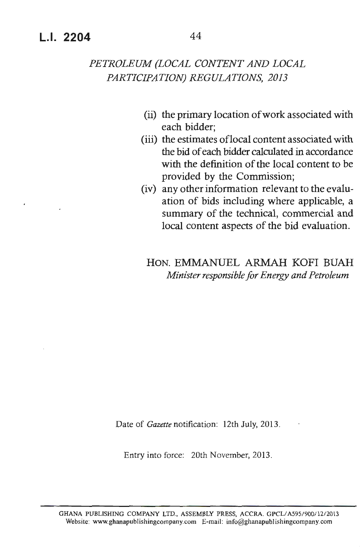- (ii) the primary location of work associated with each bidder;
- (iii) the estimates oflocal content associated with the bid of each bidder calculated in accordance with the definition of the local content to be provided by the Commission;
- (iv) any other information relevant to the evaluation of bids including where applicable, a summary of the technical, commercial and local content aspects of the bid evaluation.

HON. EMMANUEL ARMAH KOFI BUAH *Minister responsible for Energy and Petroleum* 

Date of *Gazette* notification: 12th July, 2013.

Entry into force: 20th November, 2013 .